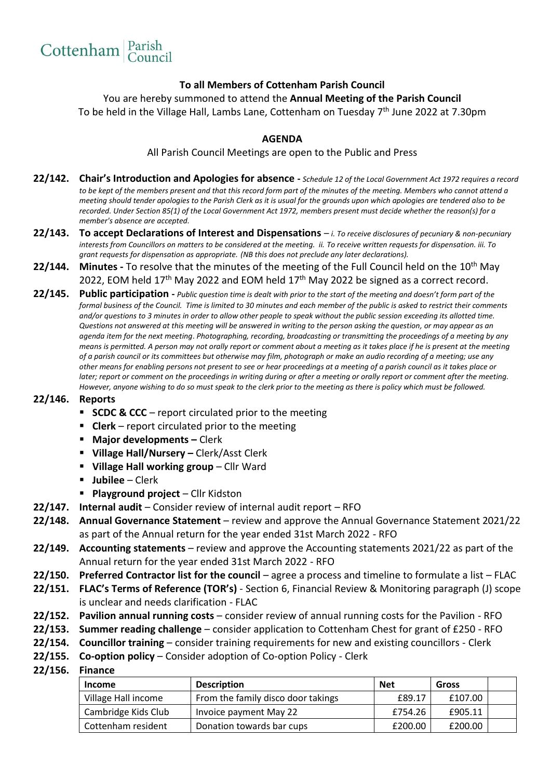

## **To all Members of Cottenham Parish Council**

You are hereby summoned to attend the **Annual Meeting of the Parish Council**

To be held in the Village Hall, Lambs Lane, Cottenham on Tuesday 7<sup>th</sup> June 2022 at 7.30pm

## **AGENDA**

## All Parish Council Meetings are open to the Public and Press

- **22/142. Chair's Introduction and Apologies for absence -** *Schedule 12 of the Local Government Act 1972 requires a record to be kept of the members present and that this record form part of the minutes of the meeting. Members who cannot attend a meeting should tender apologies to the Parish Clerk as it is usual for the grounds upon which apologies are tendered also to be recorded. Under Section 85(1) of the Local Government Act 1972, members present must decide whether the reason(s) for a member's absence are accepted.*
- **22/143. To accept Declarations of Interest and Dispensations**  *i. To receive disclosures of pecuniary & non-pecuniary interests from Councillors on matters to be considered at the meeting. ii. To receive written requests for dispensation. iii. To grant requests for dispensation as appropriate. (NB this does not preclude any later declarations).*
- 22/144. Minutes To resolve that the minutes of the meeting of the Full Council held on the 10<sup>th</sup> May 2022, EOM held  $17<sup>th</sup>$  May 2022 and EOM held  $17<sup>th</sup>$  May 2022 be signed as a correct record.
- **22/145. Public participation -** *Public question time is dealt with prior to the start of the meeting and doesn't form part of the formal business of the Council. Time is limited to 30 minutes and each member of the public is asked to restrict their comments and/or questions to 3 minutes in order to allow other people to speak without the public session exceeding its allotted time. Questions not answered at this meeting will be answered in writing to the person asking the question, or may appear as an agenda item for the next meeting*. *Photographing, recording, broadcasting or transmitting the proceedings of a meeting by any means is permitted. A person may not orally report or comment about a meeting as it takes place if he is present at the meeting of a parish council or its committees but otherwise may film, photograph or make an audio recording of a meeting; use any other means for enabling persons not present to see or hear proceedings at a meeting of a parish council as it takes place or later; report or comment on the proceedings in writing during or after a meeting or orally report or comment after the meeting. However, anyone wishing to do so must speak to the clerk prior to the meeting as there is policy which must be followed.*

## **22/146. Reports**

- **SCDC & CCC** report circulated prior to the meeting
- **Clerk** report circulated prior to the meeting
- **Major developments –** Clerk
- **Village Hall/Nursery –** Clerk/Asst Clerk
- **Village Hall working group** Cllr Ward
- **Jubilee**  Clerk
- **Playground project**  Cllr Kidston
- **22/147. Internal audit**  Consider review of internal audit report RFO
- **22/148. Annual Governance Statement**  review and approve the Annual Governance Statement 2021/22 as part of the Annual return for the year ended 31st March 2022 - RFO
- **22/149. Accounting statements**  review and approve the Accounting statements 2021/22 as part of the Annual return for the year ended 31st March 2022 - RFO
- **22/150. Preferred Contractor list for the council**  agree a process and timeline to formulate a list FLAC
- **22/151. FLAC's Terms of Reference (TOR's)** Section 6, Financial Review & Monitoring paragraph (J) scope is unclear and needs clarification - FLAC
- **22/152. Pavilion annual running costs**  consider review of annual running costs for the Pavilion RFO
- **22/153. Summer reading challenge** consider application to Cottenham Chest for grant of £250 RFO
- **22/154. Councillor training** consider training requirements for new and existing councillors Clerk
- **22/155. Co-option policy**  Consider adoption of Co-option Policy Clerk
- **22/156. Finance**

| <b>Income</b>       | <b>Description</b>                 | <b>Net</b> | Gross   |  |
|---------------------|------------------------------------|------------|---------|--|
| Village Hall income | From the family disco door takings | £89.17     | £107.00 |  |
| Cambridge Kids Club | Invoice payment May 22             | £754.26    | £905.11 |  |
| Cottenham resident  | Donation towards bar cups          | £200.00    | £200.00 |  |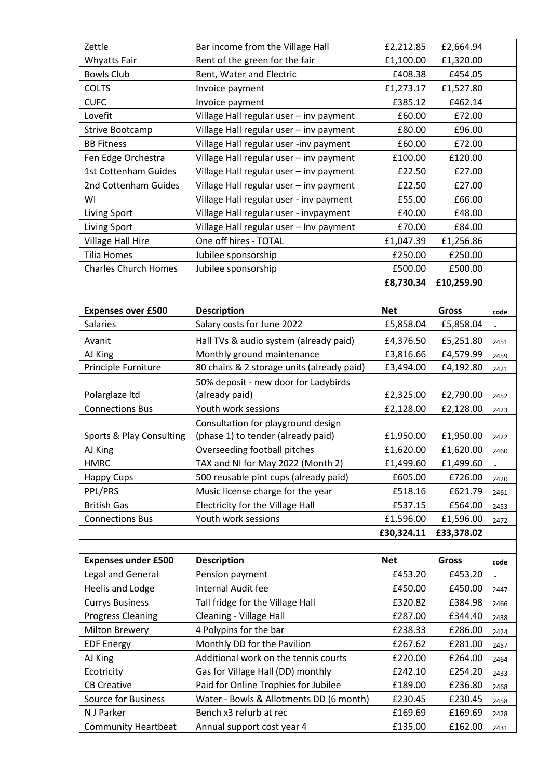| Zettle                      | Bar income from the Village Hall           | £2,212.85  | £2,664.94    |      |
|-----------------------------|--------------------------------------------|------------|--------------|------|
| <b>Whyatts Fair</b>         | Rent of the green for the fair             | £1,100.00  | £1,320.00    |      |
| <b>Bowls Club</b>           | Rent, Water and Electric                   | £408.38    | £454.05      |      |
| <b>COLTS</b>                | Invoice payment                            | £1,273.17  | £1,527.80    |      |
| <b>CUFC</b>                 | Invoice payment                            | £385.12    | £462.14      |      |
| Lovefit                     | Village Hall regular user - inv payment    | £60.00     | £72.00       |      |
| <b>Strive Bootcamp</b>      | Village Hall regular user - inv payment    | £80.00     | £96.00       |      |
| <b>BB Fitness</b>           | Village Hall regular user -inv payment     | £60.00     | £72.00       |      |
| Fen Edge Orchestra          | Village Hall regular user - inv payment    | £100.00    | £120.00      |      |
| 1st Cottenham Guides        | Village Hall regular user - inv payment    | £22.50     | £27.00       |      |
| 2nd Cottenham Guides        | Village Hall regular user - inv payment    | £22.50     | £27.00       |      |
| WI                          | Village Hall regular user - inv payment    | £55.00     | £66.00       |      |
| Living Sport                | Village Hall regular user - invpayment     | £40.00     | £48.00       |      |
| <b>Living Sport</b>         | Village Hall regular user - Inv payment    | £70.00     | £84.00       |      |
| <b>Village Hall Hire</b>    | One off hires - TOTAL                      | £1,047.39  | £1,256.86    |      |
| <b>Tilia Homes</b>          | Jubilee sponsorship                        | £250.00    | £250.00      |      |
| <b>Charles Church Homes</b> | Jubilee sponsorship                        | £500.00    | £500.00      |      |
|                             |                                            | £8,730.34  | £10,259.90   |      |
|                             |                                            |            |              |      |
| <b>Expenses over £500</b>   | <b>Description</b>                         | <b>Net</b> | <b>Gross</b> | code |
| Salaries                    | Salary costs for June 2022                 | £5,858.04  | £5,858.04    |      |
| Avanit                      | Hall TVs & audio system (already paid)     | £4,376.50  | £5,251.80    | 2451 |
| AJ King                     | Monthly ground maintenance                 | £3,816.66  | £4,579.99    | 2459 |
| Principle Furniture         | 80 chairs & 2 storage units (already paid) | £3,494.00  | £4,192.80    | 2421 |
|                             | 50% deposit - new door for Ladybirds       |            |              |      |
| Polarglaze Itd              | (already paid)                             | £2,325.00  | £2,790.00    | 2452 |
| <b>Connections Bus</b>      | Youth work sessions                        | £2,128.00  | £2,128.00    | 2423 |
|                             | Consultation for playground design         |            |              |      |
| Sports & Play Consulting    | (phase 1) to tender (already paid)         | £1,950.00  | £1,950.00    | 2422 |
| AJ King                     | Overseeding football pitches               | £1,620.00  | £1,620.00    | 2460 |
| <b>HMRC</b>                 | TAX and NI for May 2022 (Month 2)          | £1,499.60  | £1,499.60    |      |
| <b>Happy Cups</b>           | 500 reusable pint cups (already paid)      | £605.00    | £726.00      | 2420 |
| PPL/PRS                     | Music license charge for the year          | £518.16    | £621.79      | 2461 |
| <b>British Gas</b>          | Electricity for the Village Hall           | £537.15    | £564.00      | 2453 |
| <b>Connections Bus</b>      | Youth work sessions                        | £1,596.00  | £1,596.00    | 2472 |
|                             |                                            | £30,324.11 | £33,378.02   |      |
|                             |                                            |            |              |      |
| <b>Expenses under £500</b>  | <b>Description</b>                         | <b>Net</b> | <b>Gross</b> | code |
| Legal and General           | Pension payment                            | £453.20    | £453.20      |      |
| <b>Heelis and Lodge</b>     | Internal Audit fee                         | £450.00    | £450.00      | 2447 |
| <b>Currys Business</b>      | Tall fridge for the Village Hall           | £320.82    | £384.98      | 2466 |
| <b>Progress Cleaning</b>    | Cleaning - Village Hall                    | £287.00    | £344.40      | 2438 |
| <b>Milton Brewery</b>       | 4 Polypins for the bar                     | £238.33    | £286.00      | 2424 |
| <b>EDF Energy</b>           | Monthly DD for the Pavilion                | £267.62    | £281.00      | 2457 |
| AJ King                     | Additional work on the tennis courts       | £220.00    | £264.00      | 2464 |
| Ecotricity                  | Gas for Village Hall (DD) monthly          | £242.10    | £254.20      | 2433 |
| <b>CB Creative</b>          |                                            |            |              |      |
|                             | Paid for Online Trophies for Jubilee       | £189.00    | £236.80      | 2468 |
| <b>Source for Business</b>  | Water - Bowls & Allotments DD (6 month)    | £230.45    | £230.45      | 2458 |
| N J Parker                  | Bench x3 refurb at rec                     | £169.69    | £169.69      | 2428 |